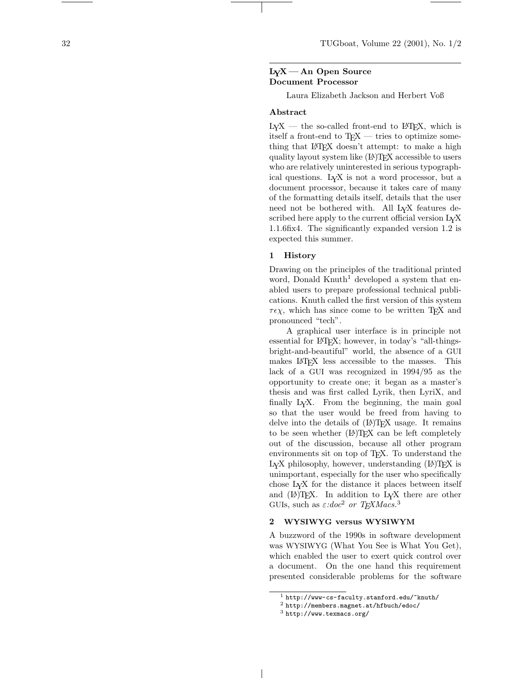## $L<sub>V</sub>X$  — An Open Source Document Processor

Laura Elizabeth Jackson and Herbert Voß

# Abstract

 $L_YX$  — the so-called front-end to LAT<sub>E</sub>X, which is itself a front-end to  $T_{E}X$  — tries to optimize something that LATEX doesn't attempt: to make a high quality layout system like (LA)TEX accessible to users who are relatively uninterested in serious typographical questions. LYX is not a word processor, but a document processor, because it takes care of many of the formatting details itself, details that the user need not be bothered with. All LYX features described here apply to the current official version L<sub>Y</sub>X 1.1.6fix4. The significantly expanded version 1.2 is expected this summer.

#### 1 History

Drawing on the principles of the traditional printed word, Donald Knuth<sup>1</sup> developed a system that enabled users to prepare professional technical publications. Knuth called the first version of this system  $\tau \epsilon \chi$ , which has since come to be written T<sub>E</sub>X and pronounced "tech".

A graphical user interface is in principle not essential for LAT<sub>EX</sub>; however, in today's "all-thingsbright-and-beautiful" world, the absence of a GUI makes LATEX less accessible to the masses. This lack of a GUI was recognized in 1994/95 as the opportunity to create one; it began as a master's thesis and was first called Lyrik, then LyriX, and finally LYX. From the beginning, the main goal so that the user would be freed from having to delve into the details of  $(L)$ T<sub>E</sub>X usage. It remains to be seen whether  $(E)$ T<sub>E</sub>X can be left completely out of the discussion, because all other program environments sit on top of TEX. To understand the  $L<sub>Y</sub>X$  philosophy, however, understanding  $(L<sup>A</sup>)T<sub>E</sub>X$  is unimportant, especially for the user who specifically chose LYX for the distance it places between itself and (LA)TEX. In addition to L<sub>Y</sub>X there are other GUIs, such as  $\varepsilon:doc^2$  or T<sub>E</sub>XMacs.<sup>3</sup>

# 2 WYSIWYG versus WYSIWYM

A buzzword of the 1990s in software development was WYSIWYG (What You See is What You Get), which enabled the user to exert quick control over a document. On the one hand this requirement presented considerable problems for the software

<sup>1</sup> http://www-cs-faculty.stanford.edu/~knuth/

 $^2$ http://members.magnet.at/hfbuch/edoc/

<sup>3</sup> http://www.texmacs.org/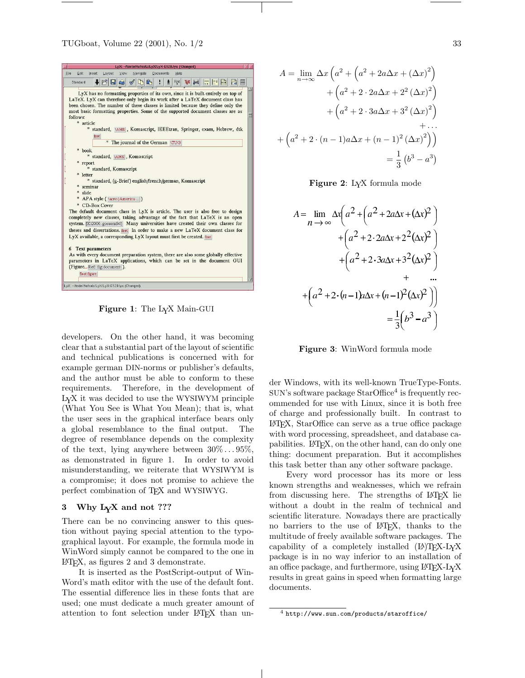

Figure 1: The LYX Main-GUI

developers. On the other hand, it was becoming clear that a substantial part of the layout of scientific and technical publications is concerned with for example german DIN-norms or publisher's defaults, and the author must be able to conform to these requirements. Therefore, in the development of LYX it was decided to use the WYSIWYM principle (What You See is What You Mean); that is, what the user sees in the graphical interface bears only a global resemblance to the final output. The degree of resemblance depends on the complexity of the text, lying anywhere between  $30\% \dots 95\%$ . as demonstrated in figure 1. In order to avoid misunderstanding, we reiterate that WYSIWYM is a compromise; it does not promise to achieve the perfect combination of T<sub>E</sub>X and WYSIWYG.

### 3 Why LYX and not ???

There can be no convincing answer to this question without paying special attention to the typographical layout. For example, the formula mode in WinWord simply cannot be compared to the one in LATEX, as figures 2 and 3 demonstrate.

It is inserted as the PostScript-output of Win-Word's math editor with the use of the default font. The essential difference lies in these fonts that are used; one must dedicate a much greater amount of attention to font selection under LATEX than un-

$$
A = \lim_{n \to \infty} \Delta x \left( a^2 + \left( a^2 + 2a\Delta x + (\Delta x)^2 \right) + \left( a^2 + 2 \cdot 2a\Delta x + 2^2 \left( \Delta x \right)^2 \right) + \left( a^2 + 2 \cdot 3a\Delta x + 3^2 \left( \Delta x \right)^2 \right) + \dots
$$

$$
+ \left( a^2 + 2 \cdot (n - 1)a\Delta x + (n - 1)^2 \left( \Delta x \right)^2 \right) \right)
$$

$$
= \frac{1}{3} \left( b^3 - a^3 \right)
$$



$$
A = \lim_{n \to \infty} \Delta x \left( a^2 + \left( a^2 + 2a\Delta x + (\Delta x)^2 \right) + \left( a^2 + 2 \cdot 2a\Delta x + 2^2 (\Delta x)^2 \right) + \left( a^2 + 2 \cdot 3a\Delta x + 3^2 (\Delta x)^2 \right) + \dots
$$

$$
+ \left( a^2 + 2 \cdot (n - 1)a\Delta x + (n - 1)^2 (\Delta x)^2 \right) \right)
$$

$$
= \frac{1}{3} \left( b^3 - a^3 \right)
$$

Figure 3: WinWord formula mode

der Windows, with its well-known TrueType-Fonts. SUN's software package StarOffice<sup>4</sup> is frequently recommended for use with Linux, since it is both free of charge and professionally built. In contrast to LATEX, StarOffice can serve as a true office package with word processing, spreadsheet, and database capabilities. LATEX, on the other hand, can do only one thing: document preparation. But it accomplishes this task better than any other software package.

Every word processor has its more or less known strengths and weaknesses, which we refrain from discussing here. The strengths of LAT<sub>EX</sub> lie without a doubt in the realm of technical and scientific literature. Nowadays there are practically no barriers to the use of LATEX, thanks to the multitude of freely available software packages. The capability of a completely installed  $(E)$ T<sub>EX</sub>-L<sub>Y</sub>X package is in no way inferior to an installation of an office package, and furthermore, using  $\text{LFT} \Sigma$ -LyX results in great gains in speed when formatting large documents.

 $4$  http://www.sun.com/products/staroffice/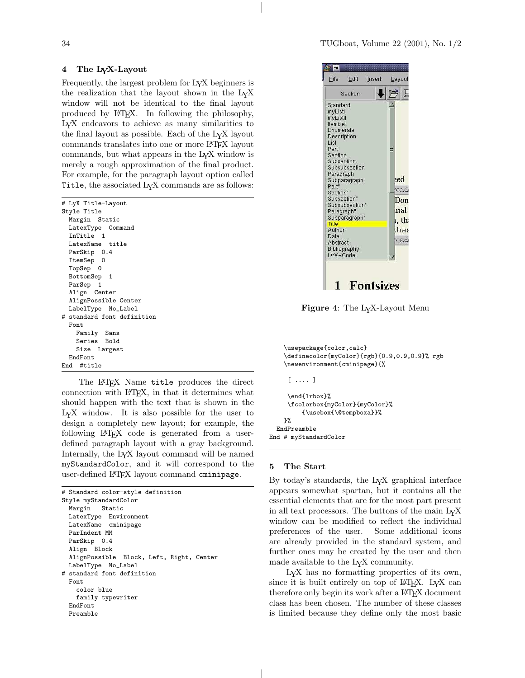#### 34 TUGboat, Volume 22 (2001), No. 1/2

## 4 The LYX-Layout

Frequently, the largest problem for LYX beginners is the realization that the layout shown in the LYX window will not be identical to the final layout produced by LATEX. In following the philosophy, LYX endeavors to achieve as many similarities to the final layout as possible. Each of the LYX layout commands translates into one or more LATEX layout commands, but what appears in the LYX window is merely a rough approximation of the final product. For example, for the paragraph layout option called Title, the associated L<sub>Y</sub>X commands are as follows:

| # LyX Title-Layout         |
|----------------------------|
| Style Title                |
| Margin Static              |
| LatexType Command          |
| InTit1e <sub>1</sub>       |
| LatexName title            |
| ParSkip 0.4                |
| ItemSep 0                  |
| TopSep 0                   |
| BottomSep 1                |
| ParSep 1                   |
| Align Center               |
| AlignPossible Center       |
| LabelType No_Label         |
| # standard font definition |
| Font                       |
| Family Sans                |
| Series Bold                |
| Size Largest               |
| EndFont                    |
| End #title                 |

The LAT<sub>EX</sub> Name title produces the direct connection with LATEX, in that it determines what should happen with the text that is shown in the LYX window. It is also possible for the user to design a completely new layout; for example, the following LATEX code is generated from a userdefined paragraph layout with a gray background. Internally, the L<sub>V</sub>X layout command will be named myStandardColor, and it will correspond to the user-defined LAT<sub>E</sub>X layout command cminipage.

| # Standard color-style definition        |
|------------------------------------------|
| Style myStandardColor                    |
| Margin Static                            |
| LatexType Environment                    |
| LatexName cminipage                      |
| ParIndent MM                             |
| ParSkip 0.4                              |
| Align Block                              |
| AlignPossible Block, Left, Right, Center |
| LabelType No_Label                       |
| # standard font definition               |
| Font                                     |
| color blue                               |
| family typewriter                        |
| EndFont                                  |
| Preamble                                 |



Figure 4: The LYX-Layout Menu

```
\usepackage{color,calc}
    \definecolor{myColor}{rgb}{0.9,0.9,0.9}% rgb
    \newenvironment{cminipage}{%
     [ .... ]
     \end{lrbox}%
     \fcolorbox{myColor}{myColor}%
         {\usebox{\@tempboxa}}%
   }%
 EndPreamble
End # myStandardColor
```
### 5 The Start

By today's standards, the LYX graphical interface appears somewhat spartan, but it contains all the essential elements that are for the most part present in all text processors. The buttons of the main LYX window can be modified to reflect the individual preferences of the user. Some additional icons are already provided in the standard system, and further ones may be created by the user and then made available to the L<sub>Y</sub>X community.

LYX has no formatting properties of its own, since it is built entirely on top of LATEX. L<sub>Y</sub>X can therefore only begin its work after a LATEX document class has been chosen. The number of these classes is limited because they define only the most basic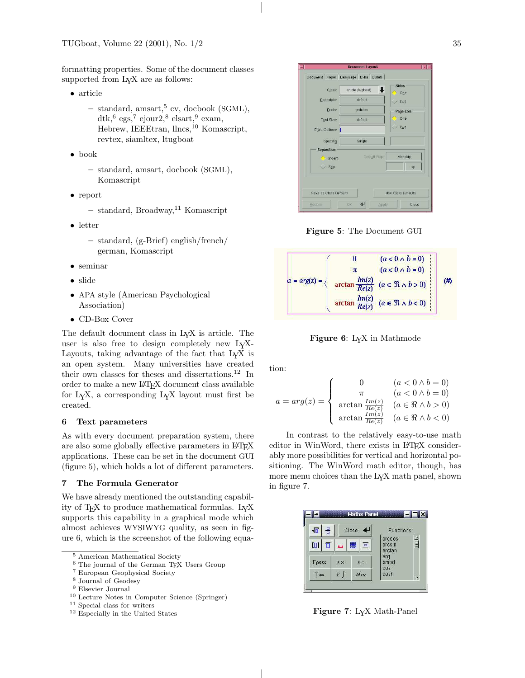formatting properties. Some of the document classes supported from LYX are as follows:

- article
	- $-$  standard, amsart,<sup>5</sup> cv, docbook (SGML),  $dtk,^6$  egs,<sup>7</sup> ejour2,<sup>8</sup> elsart,<sup>9</sup> exam, Hebrew, IEEEtran, llncs,<sup>10</sup> Komascript, revtex, siamltex, ltugboat
- book
	- standard, amsart, docbook (SGML), Komascript
- report
	- $-$  standard, Broadway,<sup>11</sup> Komascript
- letter
	- standard, (g-Brief) english/french/ german, Komascript
- seminar
- slide
- APA style (American Psychological Association)
- CD-Box Cover

The default document class in LYX is article. The user is also free to design completely new  $L<sub>Y</sub>X-$ Layouts, taking advantage of the fact that  $L<sub>Y</sub>X$  is an open system. Many universities have created their own classes for theses and dissertations.<sup>12</sup> In order to make a new LATEX document class available for LYX, a corresponding LYX layout must first be created.

### 6 Text parameters

As with every document preparation system, there are also some globally effective parameters in LATEX applications. These can be set in the document GUI (figure 5), which holds a lot of different parameters.

#### 7 The Formula Generator

We have already mentioned the outstanding capability of T<sub>E</sub>X to produce mathematical formulas. L<sub>Y</sub>X supports this capability in a graphical mode which almost achieves WYSIWYG quality, as seen in figure 6, which is the screenshot of the following equa-

- <sup>7</sup> European Geophysical Society
- <sup>8</sup> Journal of Geodesy



Figure 5: The Document GUI



Figure 6: LYX in Mathmode

tion:

$$
a = arg(z) = \begin{cases} 0 & (a < 0 \land b = 0) \\ \pi & (a < 0 \land b = 0) \\ \arctan \frac{Im(z)}{Re(z)} & (a \in \Re \land b > 0) \\ \arctan \frac{Im(z)}{Re(z)} & (a \in \Re \land b < 0) \end{cases}
$$

In contrast to the relatively easy-to-use math editor in WinWord, there exists in L<sup>AT</sup>FX considerably more possibilities for vertical and horizontal positioning. The WinWord math editor, though, has more menu choices than the LYX math panel, shown in figure 7.



Figure 7: LYX Math-Panel

<sup>5</sup> American Mathematical Society

 $^6$  The journal of the German TEX Users Group

<sup>9</sup> Elsevier Journal

<sup>10</sup> Lecture Notes in Computer Science (Springer)

<sup>11</sup> Special class for writers

<sup>12</sup> Especially in the United States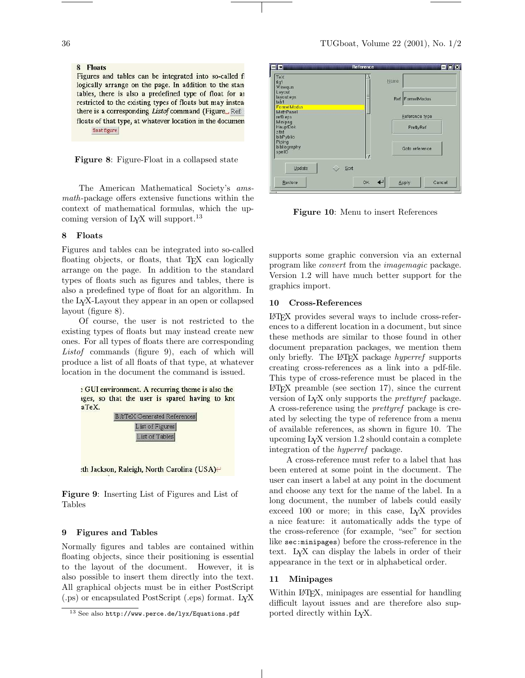#### 8 Floats

Figures and tables can be integrated into so-called fl logically arrange on the page. In addition to the stantables, there is also a predefined type of float for an restricted to the existing types of floats but may insteathere is a corresponding Listof command (Figure, Ref.: floats of that type, at whatever location in the documen float:figure

Figure 8: Figure-Float in a collapsed state

The American Mathematical Society's amsmath-package offers extensive functions within the context of mathematical formulas, which the upcoming version of L<sub>Y</sub>X will support.<sup>13</sup>

#### 8 Floats

Figures and tables can be integrated into so-called floating objects, or floats, that TFX can logically arrange on the page. In addition to the standard types of floats such as figures and tables, there is also a predefined type of float for an algorithm. In the LYX-Layout they appear in an open or collapsed layout (figure 8).

Of course, the user is not restricted to the existing types of floats but may instead create new ones. For all types of floats there are corresponding Listof commands (figure 9), each of which will produce a list of all floats of that type, at whatever location in the document the command is issued.



Figure 9: Inserting List of Figures and List of Tables

### 9 Figures and Tables

Normally figures and tables are contained within floating objects, since their positioning is essential to the layout of the document. However, it is also possible to insert them directly into the text. All graphical objects must be in either PostScript (.ps) or encapsulated PostScript (.eps) format. LYX



Figure 10: Menu to insert References

supports some graphic conversion via an external program like convert from the imagemagic package. Version 1.2 will have much better support for the graphics import.

### 10 Cross-References

LATEX provides several ways to include cross-references to a different location in a document, but since these methods are similar to those found in other document preparation packages, we mention them only briefly. The L<sup>AT</sup>EX package *hyperref* supports creating cross-references as a link into a pdf-file. This type of cross-reference must be placed in the LATEX preamble (see section 17), since the current version of L<sub>Y</sub>X only supports the *prettyref* package. A cross-reference using the prettyref package is created by selecting the type of reference from a menu of available references, as shown in figure 10. The upcoming LYX version 1.2 should contain a complete integration of the hyperref package.

A cross-reference must refer to a label that has been entered at some point in the document. The user can insert a label at any point in the document and choose any text for the name of the label. In a long document, the number of labels could easily exceed 100 or more; in this case, L<sub>Y</sub>X provides a nice feature: it automatically adds the type of the cross-reference (for example, "sec" for section like sec:minipages) before the cross-reference in the text. LYX can display the labels in order of their appearance in the text or in alphabetical order.

# 11 Minipages

Within LAT<sub>E</sub>X, minipages are essential for handling difficult layout issues and are therefore also supported directly within LYX.

<sup>13</sup> See also http://www.perce.de/lyx/Equations.pdf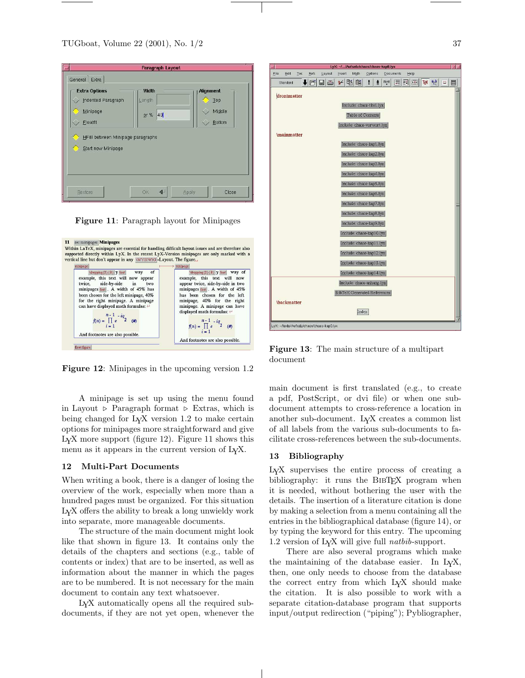| Paragraph Layout                                                                                                               |                                      |                                              |
|--------------------------------------------------------------------------------------------------------------------------------|--------------------------------------|----------------------------------------------|
| General Extra                                                                                                                  |                                      |                                              |
| <b>Extra Options</b><br>Indented Paragraph<br>Minipage:<br>Floatfit<br>HFill between Minipage paragraphs<br>Start new Minipage | <b>Vidth</b><br>Length<br>40<br>or % | <b>Alignment</b><br>Top<br>Middle:<br>Bottom |
| Restore                                                                                                                        | $\blacktriangleleft$<br>OK.          | Close<br><b>Apply</b>                        |

Figure 11: Paragraph layout for Minipages

| minipage                                                                                                                                                                                                                                                                                                                                                                               | vertical line but don't appear in any NWYSIWIG-Layout. The figure<br>$\rightarrow$ minipage                                                                                                                                                                                                                                                             |
|----------------------------------------------------------------------------------------------------------------------------------------------------------------------------------------------------------------------------------------------------------------------------------------------------------------------------------------------------------------------------------------|---------------------------------------------------------------------------------------------------------------------------------------------------------------------------------------------------------------------------------------------------------------------------------------------------------------------------------------------------------|
| of<br>$\langle \text{dropping}(2)\langle B \rangle$ y foot way<br>example, this text will now appear<br>side-by-side in<br>twice.<br>two<br>minipages foot . A width of 45% has<br>been chosen for the left minipage, 40%<br>for the right minipage. A minipage<br>can have displayed math formulas: ↔<br>$f(n) = \prod_{i=1}^{n-1} e^{-iq} 2$ (#)<br>And footnotes are also possible. | \dropping{2}{B} y foot way of<br>example, this text will now<br>appear twice, side-by-side in two<br>minipages foot. A width of 45%<br>has been chosen for the left<br>minipage, 40% for the right<br>minipage. A minipage can have<br>displayed math formulas: ←<br>$f(n) = \prod_{i=1}^{n-1} e^{-iq} 2$<br>$($ #)<br>And footnotes are also possible. |

Figure 12: Minipages in the upcoming version 1.2

A minipage is set up using the menu found in Layout  $\triangleright$  Paragraph format  $\triangleright$  Extras, which is being changed for LYX version 1.2 to make certain options for minipages more straightforward and give LYX more support (figure 12). Figure 11 shows this menu as it appears in the current version of LYX.

### 12 Multi-Part Documents

When writing a book, there is a danger of losing the overview of the work, especially when more than a hundred pages must be organized. For this situation LYX offers the ability to break a long unwieldy work into separate, more manageable documents.

The structure of the main document might look like that shown in figure 13. It contains only the details of the chapters and sections (e.g., table of contents or index) that are to be inserted, as well as information about the manner in which the pages are to be numbered. It is not necessary for the main document to contain any text whatsoever.

LYX automatically opens all the required subdocuments, if they are not yet open, whenever the



Figure 13: The main structure of a multipart document

main document is first translated (e.g., to create a pdf, PostScript, or dvi file) or when one subdocument attempts to cross-reference a location in another sub-document. LYX creates a common list of all labels from the various sub-documents to facilitate cross-references between the sub-documents.

### 13 Bibliography

LYX supervises the entire process of creating a bibliography: it runs the BIBTEX program when it is needed, without bothering the user with the details. The insertion of a literature citation is done by making a selection from a menu containing all the entries in the bibliographical database (figure 14), or by typing the keyword for this entry. The upcoming 1.2 version of LYX will give full natbib-support.

There are also several programs which make the maintaining of the database easier. In  $LyX$ , then, one only needs to choose from the database the correct entry from which LYX should make the citation. It is also possible to work with a separate citation-database program that supports input/output redirection ("piping"); Pybliographer,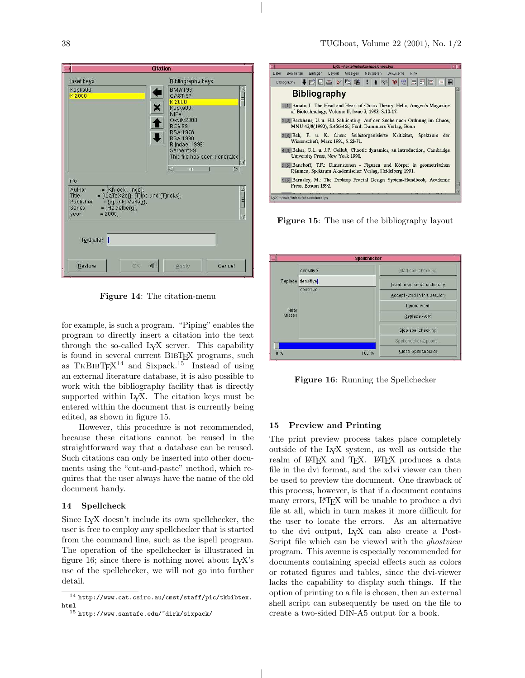|                                                                                                                                                                                      | Citation                                                                                                                                                                        |  |  |  |
|--------------------------------------------------------------------------------------------------------------------------------------------------------------------------------------|---------------------------------------------------------------------------------------------------------------------------------------------------------------------------------|--|--|--|
| Inset keys                                                                                                                                                                           | Bibliography keys                                                                                                                                                               |  |  |  |
| Kopka00<br>KI2000                                                                                                                                                                    | BMWT99<br>CAST:97<br>KI2000<br>Kopka00<br><b>NIEa</b><br>Osvik:2000<br>RC6:99<br>RSA:1978<br>RSA:1998<br>Rijndael:1999<br>Serpent:99<br>This file has been denerated<br>a.<br>Ш |  |  |  |
| Info<br>Author<br>= {KI\"ockl, Ingo},<br>= {\LaTeX2e{}: {T}ips und {T}ricks},<br>Title<br>= {dpunkt Verlag},<br>Publisher<br>$=$ {Heidelberg}<br><b>Series</b><br>$= 2000,$<br>year. |                                                                                                                                                                                 |  |  |  |
| Text after<br><b>CIK</b><br>Restore                                                                                                                                                  | Apply<br>Cancel                                                                                                                                                                 |  |  |  |

Figure 14: The citation-menu

for example, is such a program. "Piping" enables the program to directly insert a citation into the text through the so-called LYX server. This capability is found in several current BibTEX programs, such as  $TKBIBTFX<sup>14</sup>$  and Sixpack.<sup>15</sup> Instead of using an external literature database, it is also possible to work with the bibliography facility that is directly supported within LYX. The citation keys must be entered within the document that is currently being edited, as shown in figure 15.

However, this procedure is not recommended, because these citations cannot be reused in the straightforward way that a database can be reused. Such citations can only be inserted into other documents using the "cut-and-paste" method, which requires that the user always have the name of the old document handy.

#### 14 Spellcheck

Since LYX doesn't include its own spellchecker, the user is free to employ any spellchecker that is started from the command line, such as the ispell program. The operation of the spellchecker is illustrated in figure 16; since there is nothing novel about  $L<sub>Y</sub>X$ 's use of the spellchecker, we will not go into further detail.



Figure 15: The use of the bibliography layout

|                | Spellchecker |                               |
|----------------|--------------|-------------------------------|
|                | densitive    | Start spellchecking           |
| Replace        | densitive    | Insert in personal dictionary |
|                | sensitive    | Accept word in this session   |
| Near<br>Misses |              | Ignore word                   |
|                |              | Replace word                  |
|                |              | Stop spellchecking            |
|                |              | Spellchecker Options          |
| 0%             | 100 %        | Close Spellchecker            |

Figure 16: Running the Spellchecker

### 15 Preview and Printing

The print preview process takes place completely outside of the LYX system, as well as outside the realm of LAT<sub>EX</sub> and T<sub>EX</sub>. LAT<sub>EX</sub> produces a data file in the dvi format, and the xdvi viewer can then be used to preview the document. One drawback of this process, however, is that if a document contains many errors, LAT<sub>EX</sub> will be unable to produce a dvi file at all, which in turn makes it more difficult for the user to locate the errors. As an alternative to the dvi output, LYX can also create a Post-Script file which can be viewed with the *ghostview* program. This avenue is especially recommended for documents containing special effects such as colors or rotated figures and tables, since the dvi-viewer lacks the capability to display such things. If the option of printing to a file is chosen, then an external shell script can subsequently be used on the file to create a two-sided DIN-A5 output for a book.

 $^{14}$ http://www.cat.csiro.au/cmst/staff/pic/tkbibtex. html

<sup>15</sup> http://www.santafe.edu/~dirk/sixpack/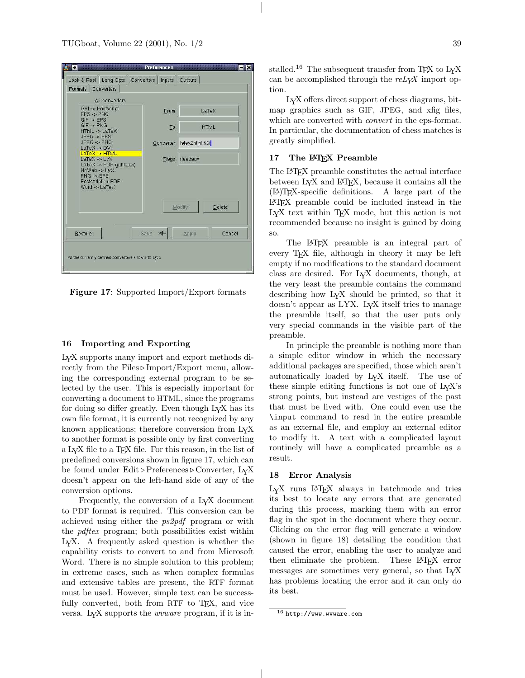Formats Converters

 $\frac{GIF \rightarrow EPS}{GIF \rightarrow PNG}$ 

DVI -> Postscript<br>EPS -> PNG

HTML -> LaTeX  $JPEG \rightarrow EPS$  $JPEG \rightarrow PNG$ 

LaTeX -> DVI

 $LaTeX - LV$ 

Restore



Delete

Cancel

All the currently defined converters known to LyX.

Save  $\triangleleft$  Modify

Apply

Figure 17: Supported Import/Export formats

# 16 Importing and Exporting

LYX supports many import and export methods directly from the Files  $\triangleright$  Import/Export menu, allowing the corresponding external program to be selected by the user. This is especially important for converting a document to HTML, since the programs for doing so differ greatly. Even though LYX has its own file format, it is currently not recognized by any known applications; therefore conversion from LYX to another format is possible only by first converting a LYX file to a TEX file. For this reason, in the list of predefined conversions shown in figure 17, which can be found under  $Edit \triangleright$  Preferences  $\triangleright$  Converter, LyX doesn't appear on the left-hand side of any of the conversion options.

Frequently, the conversion of a LYX document to PDF format is required. This conversion can be achieved using either the ps2pdf program or with the pdftex program; both possibilities exist within LYX. A frequently asked question is whether the capability exists to convert to and from Microsoft Word. There is no simple solution to this problem; in extreme cases, such as when complex formulas and extensive tables are present, the RTF format must be used. However, simple text can be successfully converted, both from RTF to T<sub>F</sub>X, and vice versa. LYX supports the wvware program, if it is installed.<sup>16</sup> The subsequent transfer from T<sub>E</sub>X to L<sub>Y</sub>X can be accomplished through the  $reLyX$  import option.

LYX offers direct support of chess diagrams, bitmap graphics such as GIF, JPEG, and xfig files, which are converted with *convert* in the eps-format. In particular, the documentation of chess matches is greatly simplified.

# 17 The LATEX Preamble

The LATEX preamble constitutes the actual interface between L<sub>Y</sub>X and L<sup>AT</sup>FX, because it contains all the (LA)TEX-specific definitions. A large part of the LATEX preamble could be included instead in the L<sub>Y</sub>X text within T<sub>E</sub>X mode, but this action is not recommended because no insight is gained by doing so.

The L<sup>AT</sup>EX preamble is an integral part of every TEX file, although in theory it may be left empty if no modifications to the standard document class are desired. For LYX documents, though, at the very least the preamble contains the command describing how LYX should be printed, so that it doesn't appear as LYX. LYX itself tries to manage the preamble itself, so that the user puts only very special commands in the visible part of the preamble.

In principle the preamble is nothing more than a simple editor window in which the necessary additional packages are specified, those which aren't automatically loaded by LYX itself. The use of these simple editing functions is not one of  $L<sub>Y</sub>X$ 's strong points, but instead are vestiges of the past that must be lived with. One could even use the \input command to read in the entire preamble as an external file, and employ an external editor to modify it. A text with a complicated layout routinely will have a complicated preamble as a result.

### 18 Error Analysis

LYX runs LATEX always in batchmode and tries its best to locate any errors that are generated during this process, marking them with an error flag in the spot in the document where they occur. Clicking on the error flag will generate a window (shown in figure 18) detailing the condition that caused the error, enabling the user to analyze and then eliminate the problem. These LAT<sub>EX</sub> error messages are sometimes very general, so that LYX has problems locating the error and it can only do its best.

 $16$  http://www.wvware.com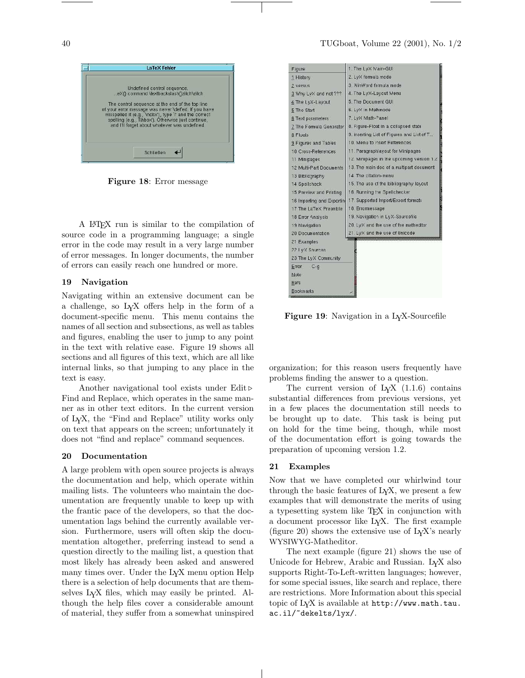

Figure 18: Error message

A LATEX run is similar to the compilation of source code in a programming language; a single error in the code may result in a very large number of error messages. In longer documents, the number of errors can easily reach one hundred or more.

# 19 Navigation

Navigating within an extensive document can be a challenge, so LYX offers help in the form of a document-specific menu. This menu contains the names of all section and subsections, as well as tables and figures, enabling the user to jump to any point in the text with relative ease. Figure 19 shows all sections and all figures of this text, which are all like internal links, so that jumping to any place in the text is easy.

Another navigational tool exists under Edit  $\triangleright$ Find and Replace, which operates in the same manner as in other text editors. In the current version of LYX, the "Find and Replace" utility works only on text that appears on the screen; unfortunately it does not "find and replace" command sequences.

### 20 Documentation

A large problem with open source projects is always the documentation and help, which operate within mailing lists. The volunteers who maintain the documentation are frequently unable to keep up with the frantic pace of the developers, so that the documentation lags behind the currently available version. Furthermore, users will often skip the documentation altogether, preferring instead to send a question directly to the mailing list, a question that most likely has already been asked and answered many times over. Under the LYX menu option Help there is a selection of help documents that are themselves LYX files, which may easily be printed. Although the help files cover a considerable amount of material, they suffer from a somewhat uninspired

| Figure                     | 1. The LyX Main-GUI                        |
|----------------------------|--------------------------------------------|
| 1 History                  | 2. LyX formula mode                        |
| 2 versus                   | 3. WinWord formula mode                    |
| 3 Why LvX and not ???      | 4. The LyX-Layout Menu                     |
| 4 The LyX-Layout           | 5. The Document GUI                        |
| 5 The Start                | 6. LyX in Mathmode                         |
| 6 Text parameters          | 7. LyX Math-Panel                          |
| 7 The Formula Generator    | 8. Figure-Float in a collapsed state       |
| 8 Fluats                   | 9. Inserting List of Figures and List of T |
| 9 Figures and Tables       | 10. Menu to insert References              |
| 10 Cross-References        | 11. Paragraphlayout for Minipages          |
| 11 Minipages               | 12. Minipages in the upcoming version 1.2  |
| 12 Multi-Part Documents    | 13. The main doc of a multipart document   |
| 13 Bibliography            | 14. The citation-menu                      |
| 14 Spellcheck              | 15. The use of the bibliography layout     |
| 15 Preview and Printing    | 16. Running the Spellchecker               |
| 16 Importing and Exporting | 17. Supported Import/Export formats        |
| 17 The LaTeX Preamble      | 18. Errormessage                           |
| 18 Error Analysis          | 19. Navigation in LyX-Sourcefile           |
| 19 Navigation              | 20. LyX and the use of the matheditor      |
| 20 Documentation           | 21. LyX and the use of Unicode.            |
| 21 Examples                |                                            |
| 22 LyX Sources             |                                            |
| 23 The LyX Community       |                                            |
| Error<br>$C - q$           |                                            |
| Note                       |                                            |
| Refs                       |                                            |
| <b>Bookmarks</b>           |                                            |

Figure 19: Navigation in a LYX-Sourcefile

organization; for this reason users frequently have problems finding the answer to a question.

The current version of  $LyX$  (1.1.6) contains substantial differences from previous versions, yet in a few places the documentation still needs to be brought up to date. This task is being put on hold for the time being, though, while most of the documentation effort is going towards the preparation of upcoming version 1.2.

### 21 Examples

Now that we have completed our whirlwind tour through the basic features of  $L<sub>Y</sub>X$ , we present a few examples that will demonstrate the merits of using a typesetting system like TEX in conjunction with a document processor like LYX. The first example (figure 20) shows the extensive use of LYX's nearly WYSIWYG-Matheditor.

The next example (figure 21) shows the use of Unicode for Hebrew, Arabic and Russian. LYX also supports Right-To-Left-written languages; however, for some special issues, like search and replace, there are restrictions. More Information about this special topic of LYX is available at http://www.math.tau. ac.il/~dekelts/lyx/.